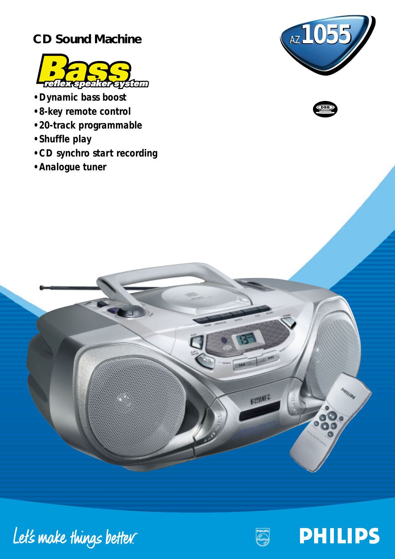## **CD Sound Machine**



- *Dynamic bass boost*
- *8-key remote control*
- *20-track programmable*
- *Shuffle play*
- *CD synchro start recording*
- *Analogue tuner*